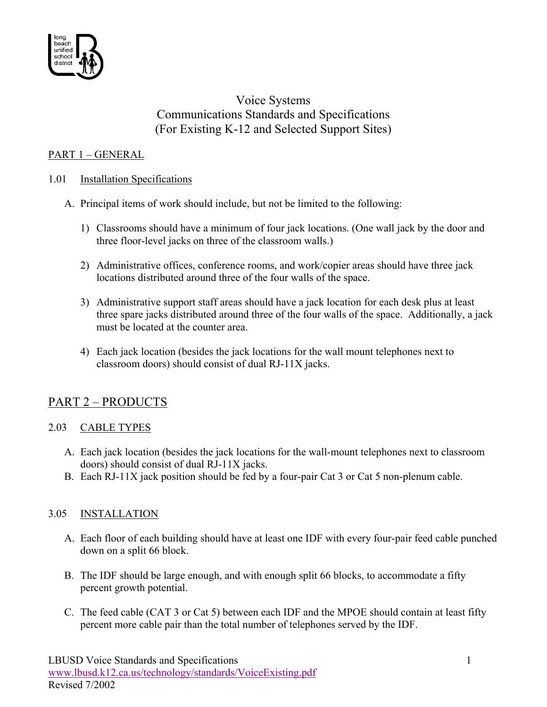

## Voice Systems Communications Standards and Specifications (For Existing K-12 and Selected Support Sites)

## PART 1 – GENERAL

### 1.01 Installation Specifications

- A. Principal items of work should include, but not be limited to the following:
	- 1) Classrooms should have a minimum of four jack locations. (One wall jack by the door and three floor-level jacks on three of the classroom walls.)
	- 2) Administrative offices, conference rooms, and work/copier areas should have three jack locations distributed around three of the four walls of the space.
	- 3) Administrative support staff areas should have a jack location for each desk plus at least three spare jacks distributed around three of the four walls of the space. Additionally, a jack must be located at the counter area.
	- 4) Each jack location (besides the jack locations for the wall mount telephones next to classroom doors) should consist of dual RJ-11X jacks.

# PART 2 – PRODUCTS

### 2.03 CABLE TYPES

- A. Each jack location (besides the jack locations for the wall-mount telephones next to classroom doors) should consist of dual RJ-11X jacks.
- B. Each RJ-11X jack position should be fed by a four-pair Cat 3 or Cat 5 non-plenum cable.

### 3.05 INSTALLATION

- A. Each floor of each building should have at least one IDF with every four-pair feed cable punched down on a split 66 block.
- B. The IDF should be large enough, and with enough split 66 blocks, to accommodate a fifty percent growth potential.
- C. The feed cable (CAT 3 or Cat 5) between each IDF and the MPOE should contain at least fifty percent more cable pair than the total number of telephones served by the IDF.